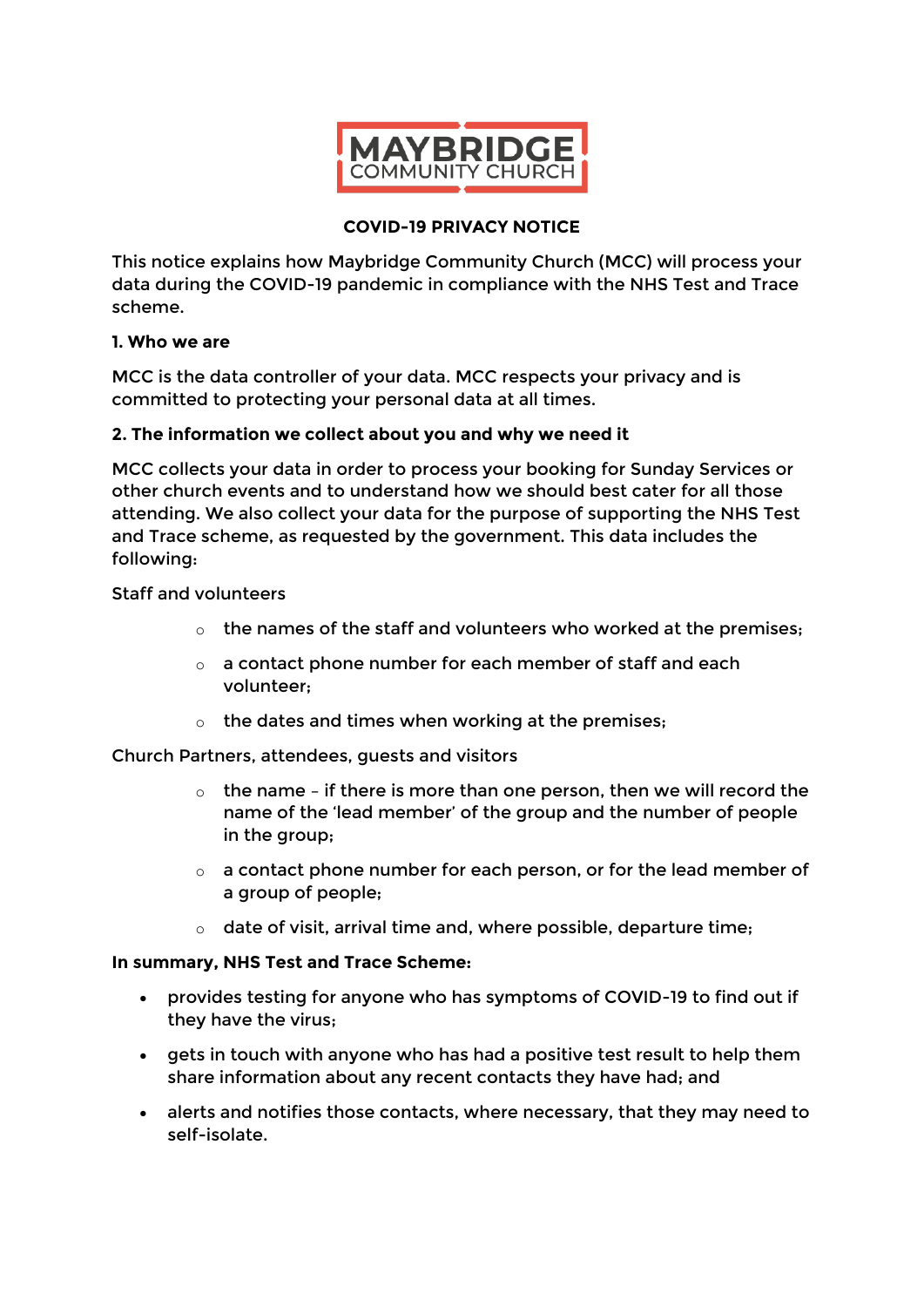

# **COVID-19 PRIVACY NOTICE**

This notice explains how Maybridge Community Church (MCC) will process your data during the COVID-19 pandemic in compliance with the NHS Test and Trace scheme.

## **1. Who we are**

MCC is the data controller of your data. MCC respects your privacy and is committed to protecting your personal data at all times.

# **2. The information we collect about you and why we need it**

MCC collects your data in order to process your booking for Sunday Services or other church events and to understand how we should best cater for all those attending. We also collect your data for the purpose of supporting the NHS Test and Trace scheme, as requested by the government. This data includes the following:

## Staff and volunteers

- $\circ$  the names of the staff and volunteers who worked at the premises:
- o a contact phone number for each member of staff and each volunteer;
- $\circ$  the dates and times when working at the premises;

Church Partners, attendees, guests and visitors

- $\circ$  the name if there is more than one person, then we will record the name of the 'lead member' of the group and the number of people in the group;
- $\circ$  a contact phone number for each person, or for the lead member of a group of people;
- $\circ$  date of visit, arrival time and, where possible, departure time:

#### **In summary, NHS Test and Trace Scheme:**

- provides testing for anyone who has symptoms of COVID-19 to find out if they have the virus;
- gets in touch with anyone who has had a positive test result to help them share information about any recent contacts they have had; and
- alerts and notifies those contacts, where necessary, that they may need to self-isolate.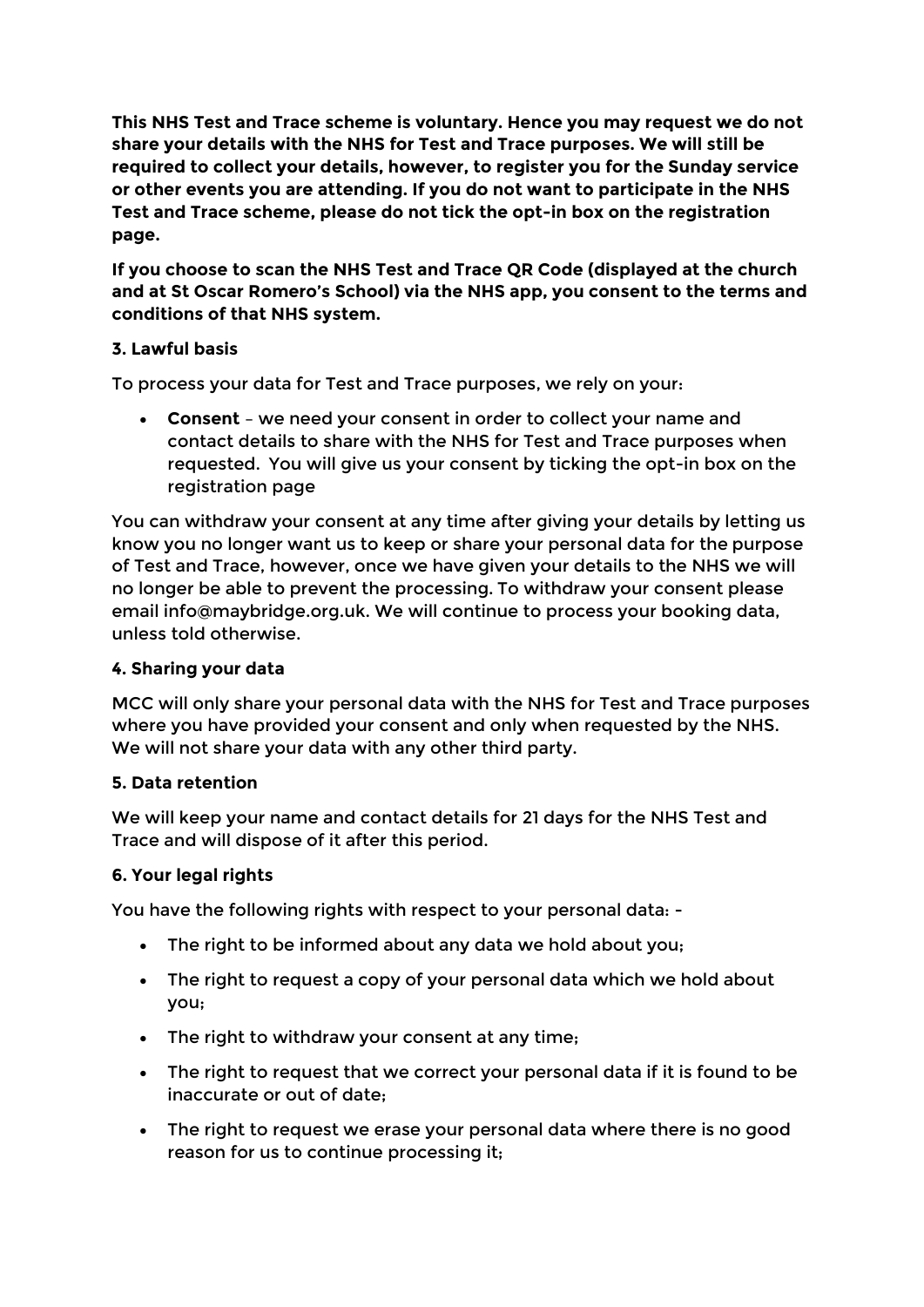**This NHS Test and Trace scheme is voluntary. Hence you may request we do not share your details with the NHS for Test and Trace purposes. We will still be required to collect your details, however, to register you for the Sunday service or other events you are attending. If you do not want to participate in the NHS Test and Trace scheme, please do not tick the opt-in box on the registration page.**

**If you choose to scan the NHS Test and Trace QR Code (displayed at the church and at St Oscar Romero's School) via the NHS app, you consent to the terms and conditions of that NHS system.**

# **3. Lawful basis**

To process your data for Test and Trace purposes, we rely on your:

 **Consent** – we need your consent in order to collect your name and contact details to share with the NHS for Test and Trace purposes when requested. You will give us your consent by ticking the opt-in box on the registration page

You can withdraw your consent at any time after giving your details by letting us know you no longer want us to keep or share your personal data for the purpose of Test and Trace, however, once we have given your details to the NHS we will no longer be able to prevent the processing. To withdraw your consent please email info@maybridge.org.uk. We will continue to process your booking data, unless told otherwise.

# **4. Sharing your data**

MCC will only share your personal data with the NHS for Test and Trace purposes where you have provided your consent and only when requested by the NHS. We will not share your data with any other third party.

# **5. Data retention**

We will keep your name and contact details for 21 days for the NHS Test and Trace and will dispose of it after this period.

# **6. Your legal rights**

You have the following rights with respect to your personal data: -

- The right to be informed about any data we hold about you;
- The right to request a copy of your personal data which we hold about you;
- The right to withdraw your consent at any time;
- The right to request that we correct your personal data if it is found to be inaccurate or out of date;
- The right to request we erase your personal data where there is no good reason for us to continue processing it;